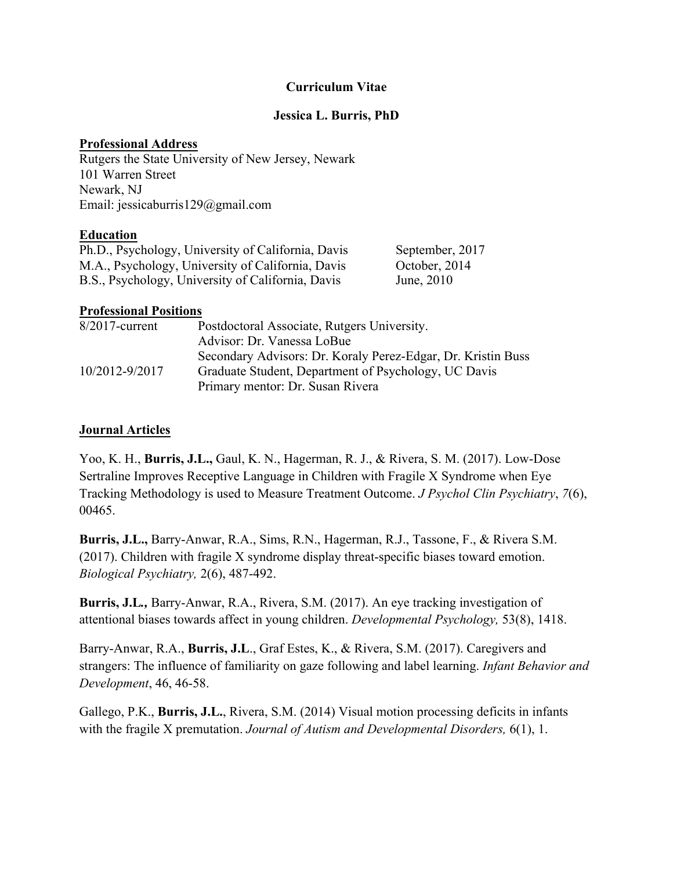#### **Curriculum Vitae**

#### **Jessica L. Burris, PhD**

#### **Professional Address**

Rutgers the State University of New Jersey, Newark 101 Warren Street Newark, NJ Email: jessicaburris129@gmail.com

#### **Education**

| Ph.D., Psychology, University of California, Davis | September, 2017 |
|----------------------------------------------------|-----------------|
| M.A., Psychology, University of California, Davis  | October, 2014   |
| B.S., Psychology, University of California, Davis  | June, 2010      |

#### **Professional Positions**

| $8/2017$ -current | Postdoctoral Associate, Rutgers University.                  |
|-------------------|--------------------------------------------------------------|
|                   | Advisor: Dr. Vanessa LoBue                                   |
|                   | Secondary Advisors: Dr. Koraly Perez-Edgar, Dr. Kristin Buss |
| 10/2012-9/2017    | Graduate Student, Department of Psychology, UC Davis         |
|                   | Primary mentor: Dr. Susan Rivera                             |

#### **Journal Articles**

Yoo, K. H., **Burris, J.L.,** Gaul, K. N., Hagerman, R. J., & Rivera, S. M. (2017). Low-Dose Sertraline Improves Receptive Language in Children with Fragile X Syndrome when Eye Tracking Methodology is used to Measure Treatment Outcome. *J Psychol Clin Psychiatry*, *7*(6), 00465.

**Burris, J.L.,** Barry-Anwar, R.A., Sims, R.N., Hagerman, R.J., Tassone, F., & Rivera S.M. (2017). Children with fragile X syndrome display threat-specific biases toward emotion. *Biological Psychiatry,* 2(6), 487-492.

**Burris, J.L***.,* Barry-Anwar, R.A., Rivera, S.M. (2017). An eye tracking investigation of attentional biases towards affect in young children. *Developmental Psychology,* 53(8), 1418.

Barry-Anwar, R.A., **Burris, J.L**., Graf Estes, K., & Rivera, S.M. (2017). Caregivers and strangers: The influence of familiarity on gaze following and label learning. *Infant Behavior and Development*, 46, 46-58.

Gallego, P.K., **Burris, J.L.**, Rivera, S.M. (2014) Visual motion processing deficits in infants with the fragile X premutation. *Journal of Autism and Developmental Disorders,* 6(1), 1.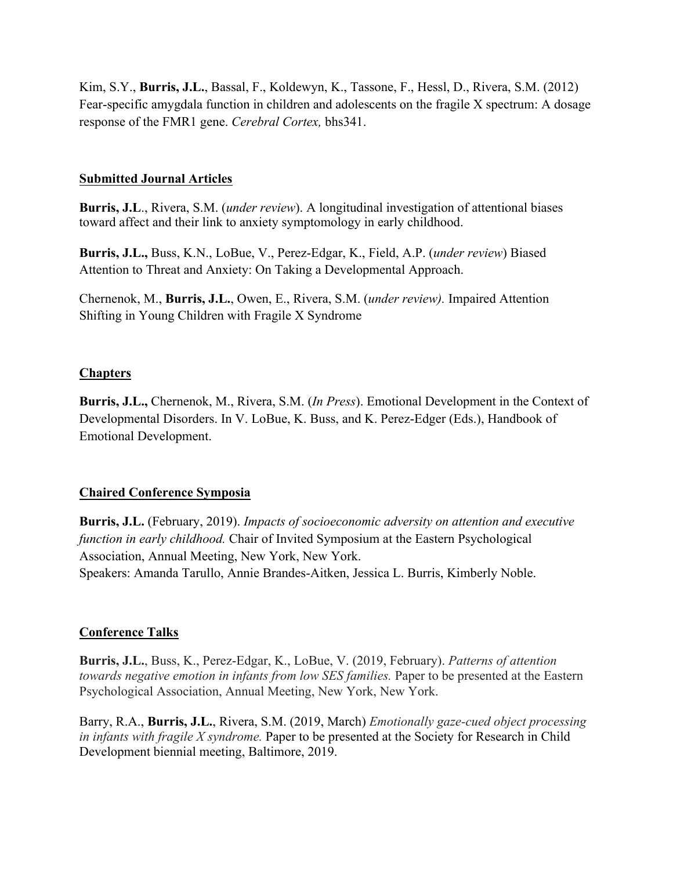Kim, S.Y., **Burris, J.L.**, Bassal, F., Koldewyn, K., Tassone, F., Hessl, D., Rivera, S.M. (2012) Fear-specific amygdala function in children and adolescents on the fragile X spectrum: A dosage response of the FMR1 gene. *Cerebral Cortex,* bhs341.

#### **Submitted Journal Articles**

**Burris, J.L**., Rivera, S.M. (*under review*). A longitudinal investigation of attentional biases toward affect and their link to anxiety symptomology in early childhood.

**Burris, J.L.,** Buss, K.N., LoBue, V., Perez-Edgar, K., Field, A.P. (*under review*) Biased Attention to Threat and Anxiety: On Taking a Developmental Approach.

Chernenok, M., **Burris, J.L.**, Owen, E., Rivera, S.M. (*under review).* Impaired Attention Shifting in Young Children with Fragile X Syndrome

#### **Chapters**

**Burris, J.L.,** Chernenok, M., Rivera, S.M. (*In Press*). Emotional Development in the Context of Developmental Disorders. In V. LoBue, K. Buss, and K. Perez-Edger (Eds.), Handbook of Emotional Development.

## **Chaired Conference Symposia**

**Burris, J.L.** (February, 2019). *Impacts of socioeconomic adversity on attention and executive function in early childhood.* Chair of Invited Symposium at the Eastern Psychological Association, Annual Meeting, New York, New York. Speakers: Amanda Tarullo, Annie Brandes-Aitken, Jessica L. Burris, Kimberly Noble.

#### **Conference Talks**

**Burris, J.L.**, Buss, K., Perez-Edgar, K., LoBue, V. (2019, February). *Patterns of attention towards negative emotion in infants from low SES families.* Paper to be presented at the Eastern Psychological Association, Annual Meeting, New York, New York.

Barry, R.A., **Burris, J.L.**, Rivera, S.M. (2019, March) *Emotionally gaze-cued object processing in infants with fragile X syndrome.* Paper to be presented at the Society for Research in Child Development biennial meeting, Baltimore, 2019.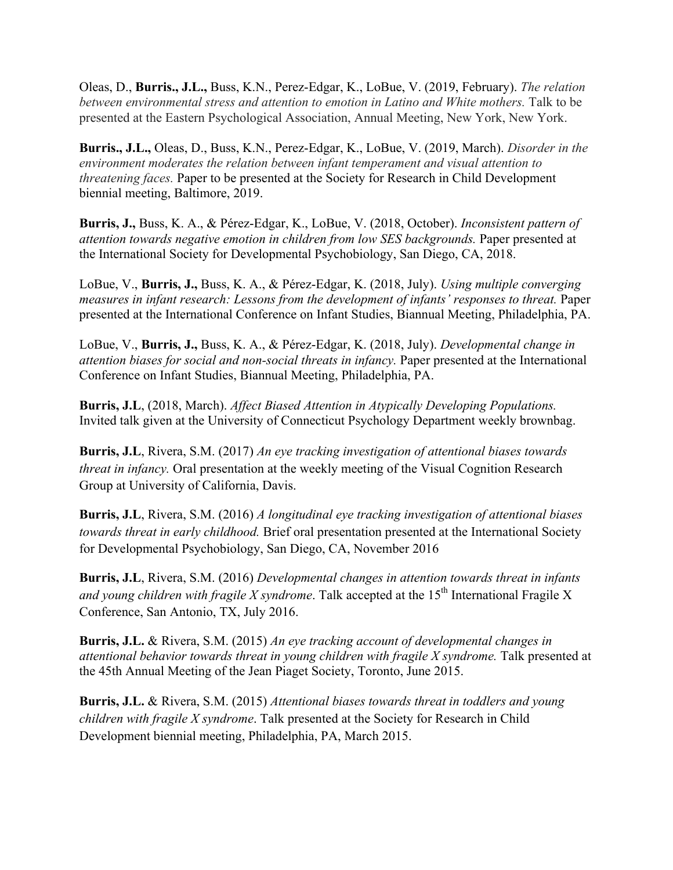Oleas, D., **Burris., J.L.,** Buss, K.N., Perez-Edgar, K., LoBue, V. (2019, February). *The relation between environmental stress and attention to emotion in Latino and White mothers.* Talk to be presented at the Eastern Psychological Association, Annual Meeting, New York, New York.

**Burris., J.L.,** Oleas, D., Buss, K.N., Perez-Edgar, K., LoBue, V. (2019, March). *Disorder in the environment moderates the relation between infant temperament and visual attention to threatening faces.* Paper to be presented at the Society for Research in Child Development biennial meeting, Baltimore, 2019.

**Burris, J.,** Buss, K. A., & Pérez-Edgar, K., LoBue, V. (2018, October). *Inconsistent pattern of attention towards negative emotion in children from low SES backgrounds.* Paper presented at the International Society for Developmental Psychobiology, San Diego, CA, 2018.

LoBue, V., **Burris, J.,** Buss, K. A., & Pérez-Edgar, K. (2018, July). *Using multiple converging measures in infant research: Lessons from the development of infants' responses to threat.* Paper presented at the International Conference on Infant Studies, Biannual Meeting, Philadelphia, PA.

LoBue, V., **Burris, J.,** Buss, K. A., & Pérez-Edgar, K. (2018, July). *Developmental change in attention biases for social and non-social threats in infancy.* Paper presented at the International Conference on Infant Studies, Biannual Meeting, Philadelphia, PA.

**Burris, J.L**, (2018, March). *Affect Biased Attention in Atypically Developing Populations.* Invited talk given at the University of Connecticut Psychology Department weekly brownbag.

**Burris, J.L**, Rivera, S.M. (2017) *An eye tracking investigation of attentional biases towards threat in infancy.* Oral presentation at the weekly meeting of the Visual Cognition Research Group at University of California, Davis.

**Burris, J.L**, Rivera, S.M. (2016) *A longitudinal eye tracking investigation of attentional biases towards threat in early childhood.* Brief oral presentation presented at the International Society for Developmental Psychobiology, San Diego, CA, November 2016

**Burris, J.L**, Rivera, S.M. (2016) *Developmental changes in attention towards threat in infants and young children with fragile X syndrome.* Talk accepted at the  $15<sup>th</sup>$  International Fragile X Conference, San Antonio, TX, July 2016.

**Burris, J.L.** & Rivera, S.M. (2015) *An eye tracking account of developmental changes in attentional behavior towards threat in young children with fragile X syndrome.* Talk presented at the 45th Annual Meeting of the Jean Piaget Society, Toronto, June 2015.

**Burris, J.L.** & Rivera, S.M. (2015) *Attentional biases towards threat in toddlers and young children with fragile X syndrome*. Talk presented at the Society for Research in Child Development biennial meeting, Philadelphia, PA, March 2015.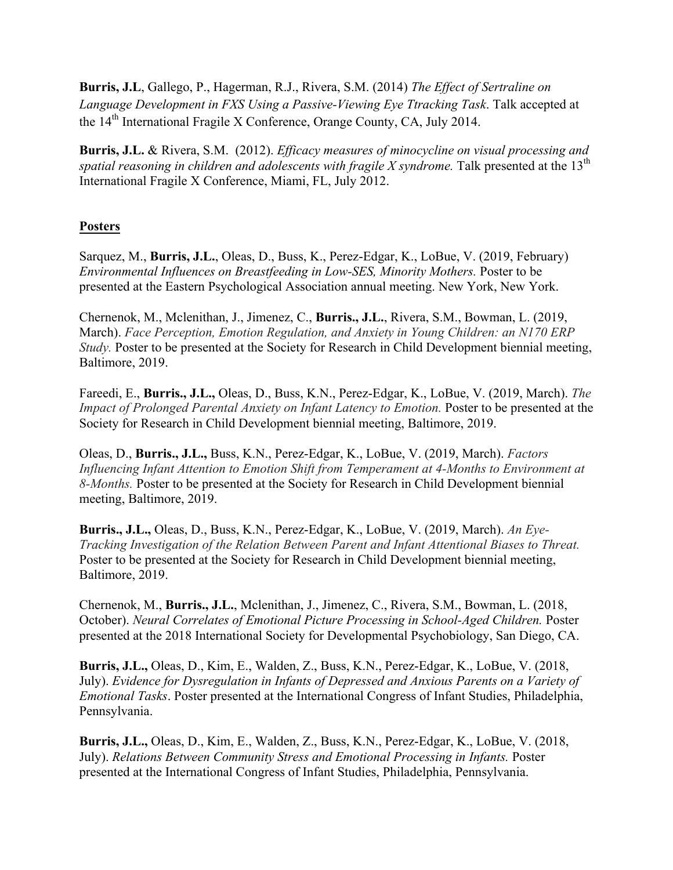**Burris, J.L**, Gallego, P., Hagerman, R.J., Rivera, S.M. (2014) *The Effect of Sertraline on Language Development in FXS Using a Passive-Viewing Eye Ttracking Task*. Talk accepted at the 14<sup>th</sup> International Fragile X Conference, Orange County, CA, July 2014.

**Burris, J.L.** & Rivera, S.M. (2012). *Efficacy measures of minocycline on visual processing and spatial reasoning in children and adolescents with fragile X syndrome.* Talk presented at the  $13<sup>th</sup>$ International Fragile X Conference, Miami, FL, July 2012.

# **Posters**

Sarquez, M., **Burris, J.L.**, Oleas, D., Buss, K., Perez-Edgar, K., LoBue, V. (2019, February) *Environmental Influences on Breastfeeding in Low-SES, Minority Mothers.* Poster to be presented at the Eastern Psychological Association annual meeting. New York, New York.

Chernenok, M., Mclenithan, J., Jimenez, C., **Burris., J.L.**, Rivera, S.M., Bowman, L. (2019, March). *Face Perception, Emotion Regulation, and Anxiety in Young Children: an N170 ERP Study.* Poster to be presented at the Society for Research in Child Development biennial meeting, Baltimore, 2019.

Fareedi, E., **Burris., J.L.,** Oleas, D., Buss, K.N., Perez-Edgar, K., LoBue, V. (2019, March). *The Impact of Prolonged Parental Anxiety on Infant Latency to Emotion.* Poster to be presented at the Society for Research in Child Development biennial meeting, Baltimore, 2019.

Oleas, D., **Burris., J.L.,** Buss, K.N., Perez-Edgar, K., LoBue, V. (2019, March). *Factors Influencing Infant Attention to Emotion Shift from Temperament at 4-Months to Environment at 8-Months.* Poster to be presented at the Society for Research in Child Development biennial meeting, Baltimore, 2019.

**Burris., J.L.,** Oleas, D., Buss, K.N., Perez-Edgar, K., LoBue, V. (2019, March). *An Eye-Tracking Investigation of the Relation Between Parent and Infant Attentional Biases to Threat.* Poster to be presented at the Society for Research in Child Development biennial meeting, Baltimore, 2019.

Chernenok, M., **Burris., J.L.**, Mclenithan, J., Jimenez, C., Rivera, S.M., Bowman, L. (2018, October). *Neural Correlates of Emotional Picture Processing in School-Aged Children.* Poster presented at the 2018 International Society for Developmental Psychobiology, San Diego, CA.

**Burris, J.L.,** Oleas, D., Kim, E., Walden, Z., Buss, K.N., Perez-Edgar, K., LoBue, V. (2018, July). *Evidence for Dysregulation in Infants of Depressed and Anxious Parents on a Variety of Emotional Tasks*. Poster presented at the International Congress of Infant Studies, Philadelphia, Pennsylvania.

**Burris, J.L.,** Oleas, D., Kim, E., Walden, Z., Buss, K.N., Perez-Edgar, K., LoBue, V. (2018, July). *Relations Between Community Stress and Emotional Processing in Infants.* Poster presented at the International Congress of Infant Studies, Philadelphia, Pennsylvania.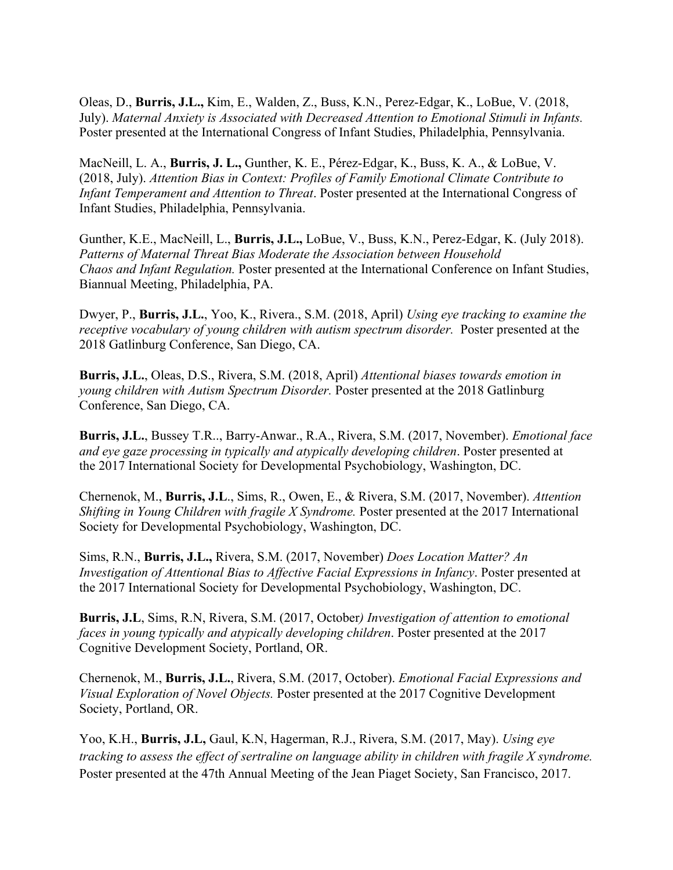Oleas, D., **Burris, J.L.,** Kim, E., Walden, Z., Buss, K.N., Perez-Edgar, K., LoBue, V. (2018, July). *Maternal Anxiety is Associated with Decreased Attention to Emotional Stimuli in Infants.* Poster presented at the International Congress of Infant Studies, Philadelphia, Pennsylvania.

MacNeill, L. A., **Burris, J. L.,** Gunther, K. E., Pérez-Edgar, K., Buss, K. A., & LoBue, V. (2018, July). *Attention Bias in Context: Profiles of Family Emotional Climate Contribute to Infant Temperament and Attention to Threat*. Poster presented at the International Congress of Infant Studies, Philadelphia, Pennsylvania.

Gunther, K.E., MacNeill, L., **Burris, J.L.,** LoBue, V., Buss, K.N., Perez-Edgar, K. (July 2018). *Patterns of Maternal Threat Bias Moderate the Association between Household Chaos and Infant Regulation.* Poster presented at the International Conference on Infant Studies, Biannual Meeting, Philadelphia, PA.

Dwyer, P., **Burris, J.L.**, Yoo, K., Rivera., S.M. (2018, April) *Using eye tracking to examine the receptive vocabulary of young children with autism spectrum disorder.* Poster presented at the 2018 Gatlinburg Conference, San Diego, CA.

**Burris, J.L.**, Oleas, D.S., Rivera, S.M. (2018, April) *Attentional biases towards emotion in young children with Autism Spectrum Disorder.* Poster presented at the 2018 Gatlinburg Conference, San Diego, CA.

**Burris, J.L.**, Bussey T.R.., Barry-Anwar., R.A., Rivera, S.M. (2017, November). *Emotional face and eye gaze processing in typically and atypically developing children*. Poster presented at the 2017 International Society for Developmental Psychobiology, Washington, DC.

Chernenok, M., **Burris, J.L**., Sims, R., Owen, E., & Rivera, S.M. (2017, November). *Attention Shifting in Young Children with fragile X Syndrome.* Poster presented at the 2017 International Society for Developmental Psychobiology, Washington, DC.

Sims, R.N., **Burris, J.L.,** Rivera, S.M. (2017, November) *Does Location Matter? An Investigation of Attentional Bias to Affective Facial Expressions in Infancy*. Poster presented at the 2017 International Society for Developmental Psychobiology, Washington, DC.

**Burris, J.L**, Sims, R.N, Rivera, S.M. (2017, October*) Investigation of attention to emotional faces in young typically and atypically developing children*. Poster presented at the 2017 Cognitive Development Society, Portland, OR.

Chernenok, M., **Burris, J.L.**, Rivera, S.M. (2017, October). *Emotional Facial Expressions and Visual Exploration of Novel Objects.* Poster presented at the 2017 Cognitive Development Society, Portland, OR.

Yoo, K.H., **Burris, J.L,** Gaul, K.N, Hagerman, R.J., Rivera, S.M. (2017, May). *Using eye tracking to assess the effect of sertraline on language ability in children with fragile X syndrome.* Poster presented at the 47th Annual Meeting of the Jean Piaget Society, San Francisco, 2017.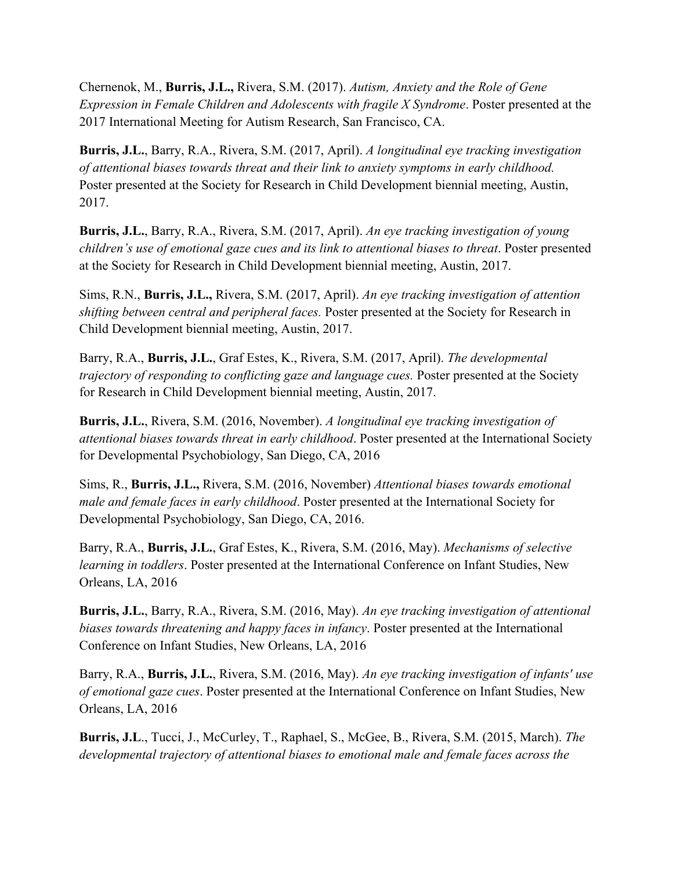Chernenok, M., **Burris, J.L.,** Rivera, S.M. (2017). *Autism, Anxiety and the Role of Gene Expression in Female Children and Adolescents with fragile X Syndrome*. Poster presented at the 2017 International Meeting for Autism Research, San Francisco, CA.

**Burris, J.L.**, Barry, R.A., Rivera, S.M. (2017, April). *A longitudinal eye tracking investigation of attentional biases towards threat and their link to anxiety symptoms in early childhood.* Poster presented at the Society for Research in Child Development biennial meeting, Austin, 2017.

**Burris, J.L.**, Barry, R.A., Rivera, S.M. (2017, April). *An eye tracking investigation of young children's use of emotional gaze cues and its link to attentional biases to threat*. Poster presented at the Society for Research in Child Development biennial meeting, Austin, 2017.

Sims, R.N., **Burris, J.L.,** Rivera, S.M. (2017, April). *An eye tracking investigation of attention shifting between central and peripheral faces.* Poster presented at the Society for Research in Child Development biennial meeting, Austin, 2017.

Barry, R.A., **Burris, J.L.**, Graf Estes, K., Rivera, S.M. (2017, April). *The developmental trajectory of responding to conflicting gaze and language cues.* Poster presented at the Society for Research in Child Development biennial meeting, Austin, 2017.

**Burris, J.L.**, Rivera, S.M. (2016, November). *A longitudinal eye tracking investigation of attentional biases towards threat in early childhood*. Poster presented at the International Society for Developmental Psychobiology, San Diego, CA, 2016

Sims, R., **Burris, J.L.,** Rivera, S.M. (2016, November) *Attentional biases towards emotional male and female faces in early childhood*. Poster presented at the International Society for Developmental Psychobiology, San Diego, CA, 2016.

Barry, R.A., **Burris, J.L.**, Graf Estes, K., Rivera, S.M. (2016, May). *Mechanisms of selective learning in toddlers*. Poster presented at the International Conference on Infant Studies, New Orleans, LA, 2016

**Burris, J.L.**, Barry, R.A., Rivera, S.M. (2016, May). *An eye tracking investigation of attentional biases towards threatening and happy faces in infancy*. Poster presented at the International Conference on Infant Studies, New Orleans, LA, 2016

Barry, R.A., **Burris, J.L.**, Rivera, S.M. (2016, May). *An eye tracking investigation of infants' use of emotional gaze cues*. Poster presented at the International Conference on Infant Studies, New Orleans, LA, 2016

**Burris, J.L**., Tucci, J., McCurley, T., Raphael, S., McGee, B., Rivera, S.M. (2015, March). *The developmental trajectory of attentional biases to emotional male and female faces across the*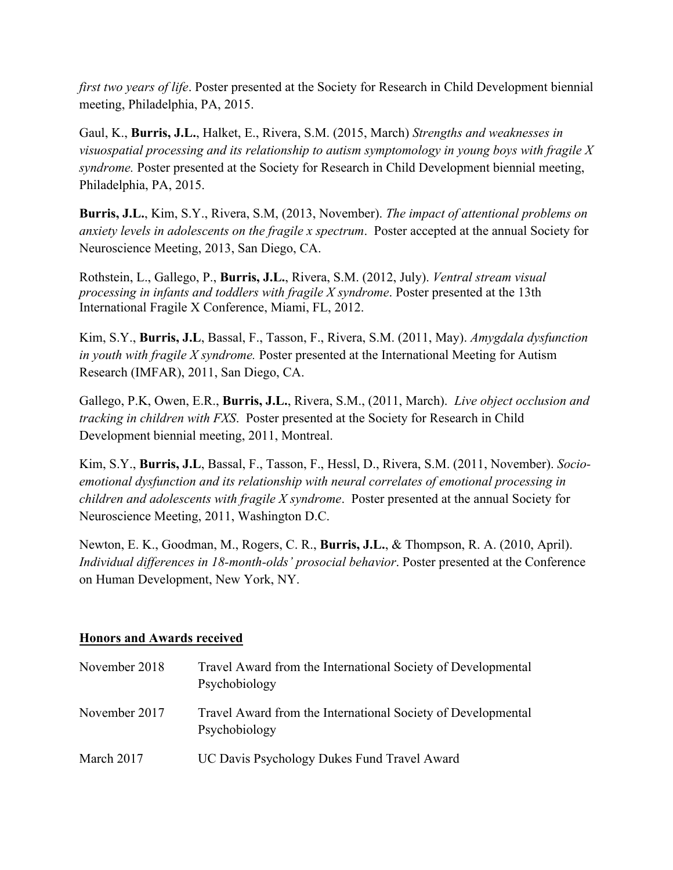*first two years of life*. Poster presented at the Society for Research in Child Development biennial meeting, Philadelphia, PA, 2015.

Gaul, K., **Burris, J.L.**, Halket, E., Rivera, S.M. (2015, March) *Strengths and weaknesses in visuospatial processing and its relationship to autism symptomology in young boys with fragile X syndrome.* Poster presented at the Society for Research in Child Development biennial meeting, Philadelphia, PA, 2015.

**Burris, J.L.**, Kim, S.Y., Rivera, S.M, (2013, November). *The impact of attentional problems on anxiety levels in adolescents on the fragile x spectrum*. Poster accepted at the annual Society for Neuroscience Meeting, 2013, San Diego, CA.

Rothstein, L., Gallego, P., **Burris, J.L.**, Rivera, S.M. (2012, July). *Ventral stream visual processing in infants and toddlers with fragile X syndrome*. Poster presented at the 13th International Fragile X Conference, Miami, FL, 2012.

Kim, S.Y., **Burris, J.L**, Bassal, F., Tasson, F., Rivera, S.M. (2011, May). *Amygdala dysfunction in youth with fragile X syndrome.* Poster presented at the International Meeting for Autism Research (IMFAR), 2011, San Diego, CA.

Gallego, P.K, Owen, E.R., **Burris, J.L.**, Rivera, S.M., (2011, March). *Live object occlusion and tracking in children with FXS*. Poster presented at the Society for Research in Child Development biennial meeting, 2011, Montreal.

Kim, S.Y., **Burris, J.L**, Bassal, F., Tasson, F., Hessl, D., Rivera, S.M. (2011, November). *Socioemotional dysfunction and its relationship with neural correlates of emotional processing in children and adolescents with fragile X syndrome*. Poster presented at the annual Society for Neuroscience Meeting, 2011, Washington D.C.

Newton, E. K., Goodman, M., Rogers, C. R., **Burris, J.L.**, & Thompson, R. A. (2010, April). *Individual differences in 18-month-olds' prosocial behavior*. Poster presented at the Conference on Human Development, New York, NY.

## **Honors and Awards received**

| November 2018 | Travel Award from the International Society of Developmental<br>Psychobiology |
|---------------|-------------------------------------------------------------------------------|
| November 2017 | Travel Award from the International Society of Developmental<br>Psychobiology |
| March 2017    | UC Davis Psychology Dukes Fund Travel Award                                   |